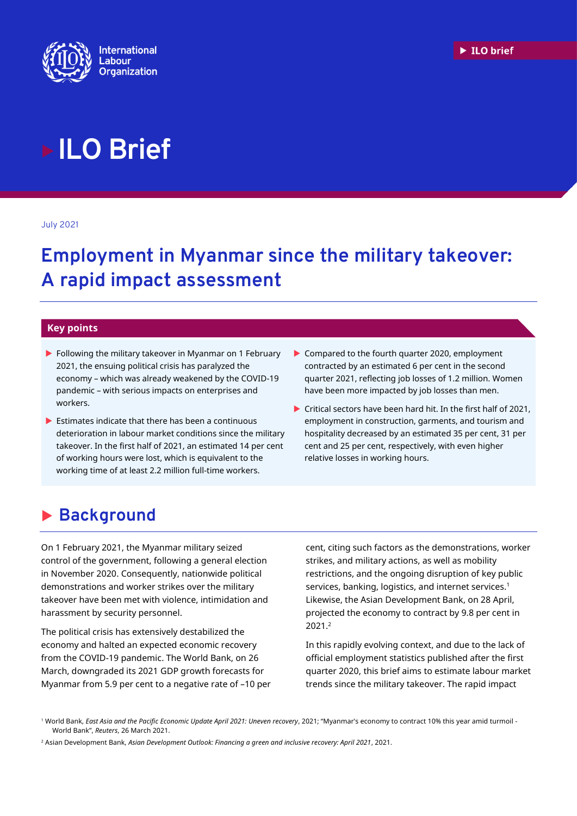

# **ILO Brief**

July 2021

# **Employment in Myanmar since the military takeover: A rapid impact assessment**

#### **Key points**

- **Following the military takeover in Myanmar on 1 February** 2021, the ensuing political crisis has paralyzed the economy – which was already weakened by the COVID-19 pandemic – with serious impacts on enterprises and workers.
- $\blacktriangleright$  Estimates indicate that there has been a continuous deterioration in labour market conditions since the military takeover. In the first half of 2021, an estimated 14 per cent of working hours were lost, which is equivalent to the working time of at least 2.2 million full-time workers.
- Compared to the fourth quarter 2020, employment contracted by an estimated 6 per cent in the second quarter 2021, reflecting job losses of 1.2 million. Women have been more impacted by job losses than men.
- Critical sectors have been hard hit. In the first half of 2021, employment in construction, garments, and tourism and hospitality decreased by an estimated 35 per cent, 31 per cent and 25 per cent, respectively, with even higher relative losses in working hours.

# **Background**

On 1 February 2021, the Myanmar military seized control of the government, following a general election in November 2020. Consequently, nationwide political demonstrations and worker strikes over the military takeover have been met with violence, intimidation and harassment by security personnel.

The political crisis has extensively destabilized the economy and halted an expected economic recovery from the COVID-19 pandemic. The World Bank, on 26 March, downgraded its 2021 GDP growth forecasts for Myanmar from 5.9 per cent to a negative rate of –10 per cent, citing such factors as the demonstrations, worker strikes, and military actions, as well as mobility restrictions, and the ongoing disruption of key public services, banking, logistics, and internet services. 1 Likewise, the Asian Development Bank, on 28 April, projected the economy to contract by 9.8 per cent in 2021.<sup>2</sup>

In this rapidly evolving context, and due to the lack of official employment statistics published after the first quarter 2020, this brief aims to estimate labour market trends since the military takeover. The rapid impact

<sup>1</sup> World Bank, *East Asia and the Pacific Economic Update April 2021: Uneven recovery*, 2021; "Myanmar's economy to contract 10% this year amid turmoil - World Bank", *Reuters*, 26 March 2021.

<sup>2</sup> Asian Development Bank, *Asian Development Outlook: Financing a green and inclusive recovery: April 2021*, 2021.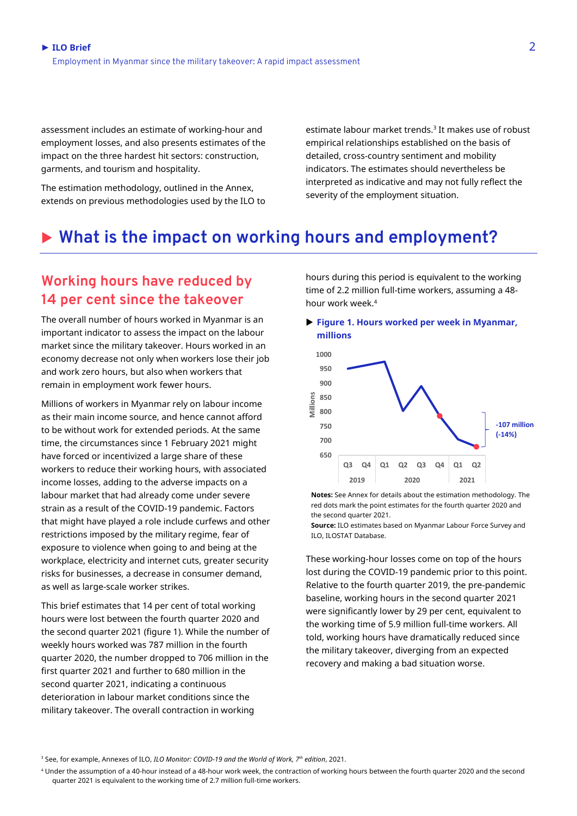assessment includes an estimate of working-hour and employment losses, and also presents estimates of the impact on the three hardest hit sectors: construction, garments, and tourism and hospitality.

The estimation methodology, outlined in the Annex, extends on previous methodologies used by the ILO to estimate labour market trends.<sup>3</sup> It makes use of robust empirical relationships established on the basis of detailed, cross-country sentiment and mobility indicators. The estimates should nevertheless be interpreted as indicative and may not fully reflect the severity of the employment situation.

## **What is the impact on working hours and employment?**

## **Working hours have reduced by 14 per cent since the takeover**

The overall number of hours worked in Myanmar is an important indicator to assess the impact on the labour market since the military takeover. Hours worked in an economy decrease not only when workers lose their job and work zero hours, but also when workers that remain in employment work fewer hours.

Millions of workers in Myanmar rely on labour income as their main income source, and hence cannot afford to be without work for extended periods. At the same time, the circumstances since 1 February 2021 might have forced or incentivized a large share of these workers to reduce their working hours, with associated income losses, adding to the adverse impacts on a labour market that had already come under severe strain as a result of the COVID-19 pandemic. Factors that might have played a role include curfews and other restrictions imposed by the military regime, fear of exposure to violence when going to and being at the workplace, electricity and internet cuts, greater security risks for businesses, a decrease in consumer demand, as well as large-scale worker strikes.

This brief estimates that 14 per cent of total working hours were lost between the fourth quarter 2020 and the second quarter 2021 (figure 1). While the number of weekly hours worked was 787 million in the fourth quarter 2020, the number dropped to 706 million in the first quarter 2021 and further to 680 million in the second quarter 2021, indicating a continuous deterioration in labour market conditions since the military takeover. The overall contraction in working

hours during this period is equivalent to the working time of 2.2 million full-time workers, assuming a 48 hour work week.<sup>4</sup>

 **Figure 1. Hours worked per week in Myanmar, millions**



**Notes:** See Annex for details about the estimation methodology. The red dots mark the point estimates for the fourth quarter 2020 and the second quarter 2021.

**Source:** ILO estimates based on Myanmar Labour Force Survey and ILO, ILOSTAT Database.

These working-hour losses come on top of the hours lost during the COVID-19 pandemic prior to this point. Relative to the fourth quarter 2019, the pre-pandemic baseline, working hours in the second quarter 2021 were significantly lower by 29 per cent, equivalent to the working time of 5.9 million full-time workers. All told, working hours have dramatically reduced since the military takeover, diverging from an expected recovery and making a bad situation worse.

<sup>3</sup> See, for example, Annexes of ILO, *ILO Monitor: COVID-19 and the World of Work, 7 th edition*, 2021.

<sup>4</sup> Under the assumption of a 40-hour instead of a 48-hour work week, the contraction of working hours between the fourth quarter 2020 and the second quarter 2021 is equivalent to the working time of 2.7 million full-time workers.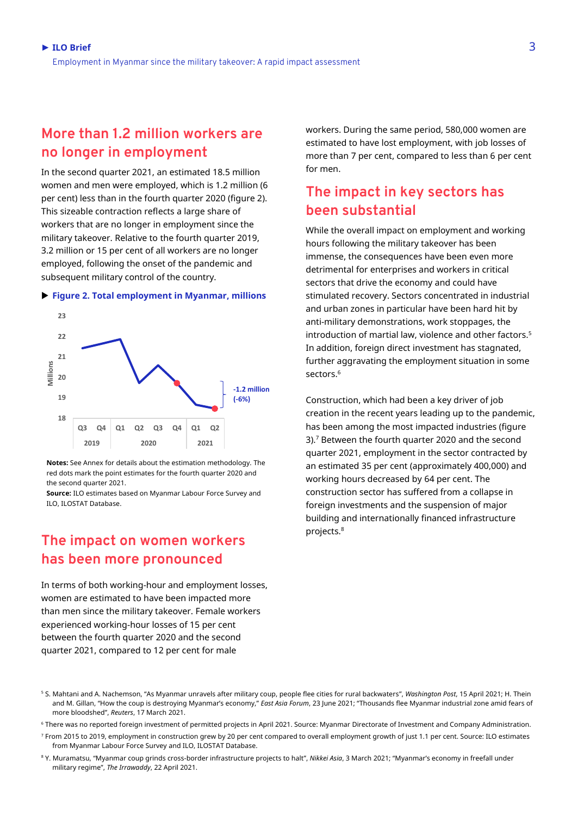#### **More than 1.2 million workers are no longer in employment**

In the second quarter 2021, an estimated 18.5 million women and men were employed, which is 1.2 million (6 per cent) less than in the fourth quarter 2020 (figure 2). This sizeable contraction reflects a large share of workers that are no longer in employment since the military takeover. Relative to the fourth quarter 2019, 3.2 million or 15 per cent of all workers are no longer employed, following the onset of the pandemic and subsequent military control of the country.



#### **Figure 2. Total employment in Myanmar, millions**

**Notes:** See Annex for details about the estimation methodology. The red dots mark the point estimates for the fourth quarter 2020 and the second quarter 2021.

**Source:** ILO estimates based on Myanmar Labour Force Survey and ILO, ILOSTAT Database.

### **The impact on women workers has been more pronounced**

In terms of both working-hour and employment losses, women are estimated to have been impacted more than men since the military takeover. Female workers experienced working-hour losses of 15 per cent between the fourth quarter 2020 and the second quarter 2021, compared to 12 per cent for male

workers. During the same period, 580,000 women are estimated to have lost employment, with job losses of more than 7 per cent, compared to less than 6 per cent for men.

## **The impact in key sectors has been substantial**

While the overall impact on employment and working hours following the military takeover has been immense, the consequences have been even more detrimental for enterprises and workers in critical sectors that drive the economy and could have stimulated recovery. Sectors concentrated in industrial and urban zones in particular have been hard hit by anti-military demonstrations, work stoppages, the introduction of martial law, violence and other factors. 5 In addition, foreign direct investment has stagnated, further aggravating the employment situation in some sectors. 6

Construction, which had been a key driver of job creation in the recent years leading up to the pandemic, has been among the most impacted industries (figure 3). <sup>7</sup> Between the fourth quarter 2020 and the second quarter 2021, employment in the sector contracted by an estimated 35 per cent (approximately 400,000) and working hours decreased by 64 per cent. The construction sector has suffered from a collapse in foreign investments and the suspension of major building and internationally financed infrastructure projects. 8

<sup>5</sup> S. Mahtani and A. Nachemson, "As Myanmar unravels after military coup, people flee cities for rural backwaters", *Washington Post*, 15 April 2021; H. Thein and M. Gillan, "How the coup is destroying Myanmar's economy," *East Asia Forum*, 23 June 2021; "Thousands flee Myanmar industrial zone amid fears of more bloodshed", *Reuters*, 17 March 2021.

<sup>6</sup> There was no reported foreign investment of permitted projects in April 2021. Source: Myanmar Directorate of Investment and Company Administration.

<sup>7</sup> From 2015 to 2019, employment in construction grew by 20 per cent compared to overall employment growth of just 1.1 per cent. Source: ILO estimates from Myanmar Labour Force Survey and ILO, ILOSTAT Database.

<sup>8</sup> Y. Muramatsu, "Myanmar coup grinds cross-border infrastructure projects to halt", *Nikkei Asia*, 3 March 2021; "Myanmar's economy in freefall under military regime", *The Irrawaddy*, 22 April 2021.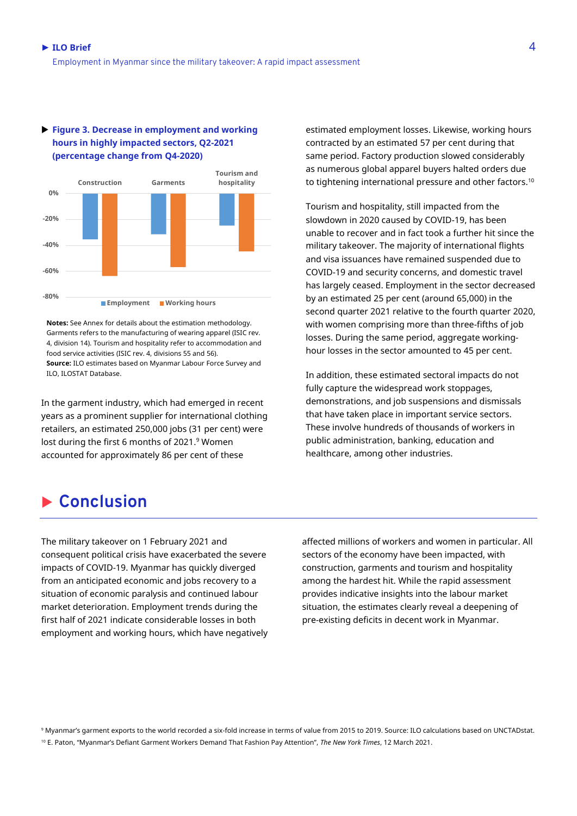

#### **Figure 3. Decrease in employment and working hours in highly impacted sectors, Q2-2021 (percentage change from Q4-2020)**

**Notes:** See Annex for details about the estimation methodology. Garments refers to the manufacturing of wearing apparel (ISIC rev. 4, division 14). Tourism and hospitality refer to accommodation and food service activities (ISIC rev. 4, divisions 55 and 56). **Source:** ILO estimates based on Myanmar Labour Force Survey and ILO, ILOSTAT Database.

In the garment industry, which had emerged in recent years as a prominent supplier for international clothing retailers, an estimated 250,000 jobs (31 per cent) were lost during the first 6 months of 2021. <sup>9</sup> Women accounted for approximately 86 per cent of these

estimated employment losses. Likewise, working hours contracted by an estimated 57 per cent during that same period. Factory production slowed considerably as numerous global apparel buyers halted orders due to tightening international pressure and other factors. $^{\rm 10}$ 

Tourism and hospitality, still impacted from the slowdown in 2020 caused by COVID-19, has been unable to recover and in fact took a further hit since the military takeover. The majority of international flights and visa issuances have remained suspended due to COVID-19 and security concerns, and domestic travel has largely ceased. Employment in the sector decreased by an estimated 25 per cent (around 65,000) in the second quarter 2021 relative to the fourth quarter 2020, with women comprising more than three-fifths of job losses. During the same period, aggregate workinghour losses in the sector amounted to 45 per cent.

In addition, these estimated sectoral impacts do not fully capture the widespread work stoppages, demonstrations, and job suspensions and dismissals that have taken place in important service sectors. These involve hundreds of thousands of workers in public administration, banking, education and healthcare, among other industries.

# **Conclusion**

The military takeover on 1 February 2021 and consequent political crisis have exacerbated the severe impacts of COVID-19. Myanmar has quickly diverged from an anticipated economic and jobs recovery to a situation of economic paralysis and continued labour market deterioration. Employment trends during the first half of 2021 indicate considerable losses in both employment and working hours, which have negatively affected millions of workers and women in particular. All sectors of the economy have been impacted, with construction, garments and tourism and hospitality among the hardest hit. While the rapid assessment provides indicative insights into the labour market situation, the estimates clearly reveal a deepening of pre-existing deficits in decent work in Myanmar.

<sup>9</sup> Myanmar's garment exports to the world recorded a six-fold increase in terms of value from 2015 to 2019. Source: ILO calculations based on UNCTADstat. <sup>10</sup> E. Paton, "Myanmar's Defiant Garment Workers Demand That Fashion Pay Attention", *The New York Times*, 12 March 2021.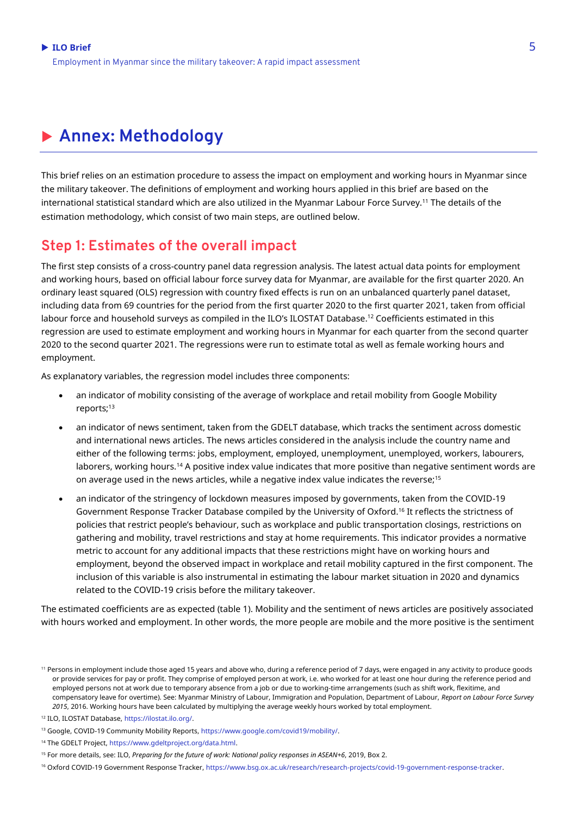# **Annex: Methodology**

This brief relies on an estimation procedure to assess the impact on employment and working hours in Myanmar since the military takeover. The definitions of employment and working hours applied in this brief are based on the international statistical standard which are also utilized in the Myanmar Labour Force Survey.<sup>11</sup> The details of the estimation methodology, which consist of two main steps, are outlined below.

#### **Step 1: Estimates of the overall impact**

The first step consists of a cross-country panel data regression analysis. The latest actual data points for employment and working hours, based on official labour force survey data for Myanmar, are available for the first quarter 2020. An ordinary least squared (OLS) regression with country fixed effects is run on an unbalanced quarterly panel dataset, including data from 69 countries for the period from the first quarter 2020 to the first quarter 2021, taken from official labour force and household surveys as compiled in the ILO's ILOSTAT Database.<sup>12</sup> Coefficients estimated in this regression are used to estimate employment and working hours in Myanmar for each quarter from the second quarter 2020 to the second quarter 2021. The regressions were run to estimate total as well as female working hours and employment.

As explanatory variables, the regression model includes three components:

- an indicator of mobility consisting of the average of workplace and retail mobility from Google Mobility reports;<sup>13</sup>
- an indicator of news sentiment, taken from the GDELT database, which tracks the sentiment across domestic and international news articles. The news articles considered in the analysis include the country name and either of the following terms: jobs, employment, employed, unemployment, unemployed, workers, labourers, laborers, working hours.<sup>14</sup> A positive index value indicates that more positive than negative sentiment words are on average used in the news articles, while a negative index value indicates the reverse;<sup>15</sup>
- an indicator of the stringency of lockdown measures imposed by governments, taken from the COVID-19 Government Response Tracker Database compiled by the University of Oxford. <sup>16</sup> It reflects the strictness of policies that restrict people's behaviour, such as workplace and public transportation closings, restrictions on gathering and mobility, travel restrictions and stay at home requirements. This indicator provides a normative metric to account for any additional impacts that these restrictions might have on working hours and employment, beyond the observed impact in workplace and retail mobility captured in the first component. The inclusion of this variable is also instrumental in estimating the labour market situation in 2020 and dynamics related to the COVID-19 crisis before the military takeover.

The estimated coefficients are as expected (table 1). Mobility and the sentiment of news articles are positively associated with hours worked and employment. In other words, the more people are mobile and the more positive is the sentiment

<sup>&</sup>lt;sup>11</sup> Persons in employment include those aged 15 years and above who, during a reference period of 7 days, were engaged in any activity to produce goods or provide services for pay or profit. They comprise of employed person at work, i.e. who worked for at least one hour during the reference period and employed persons not at work due to temporary absence from a job or due to working-time arrangements (such as shift work, flexitime, and compensatory leave for overtime). See: Myanmar Ministry of Labour, Immigration and Population, Department of Labour, *Report on Labour Force Survey 2015*, 2016. Working hours have been calculated by multiplying the average weekly hours worked by total employment.

<sup>12</sup> ILO, ILOSTAT Database[, https://ilostat.ilo.org/.](https://ilostat.ilo.org/)

<sup>13</sup> Google, COVID-19 Community Mobility Reports, [https://www.google.com/covid19/mobility/.](https://www.google.com/covid19/mobility/) 

<sup>14</sup> The GDELT Project[, https://www.gdeltproject.org/data.html.](https://www.gdeltproject.org/data.html) 

<sup>15</sup> For more details, see: ILO, *Preparing for the future of work: National policy responses in ASEAN+6*, 2019, Box 2.

<sup>16</sup> Oxford COVID-19 Government Response Tracker[, https://www.bsg.ox.ac.uk/research/research-projects/covid-19-government-response-tracker.](https://www.bsg.ox.ac.uk/research/research-projects/covid-19-government-response-tracker)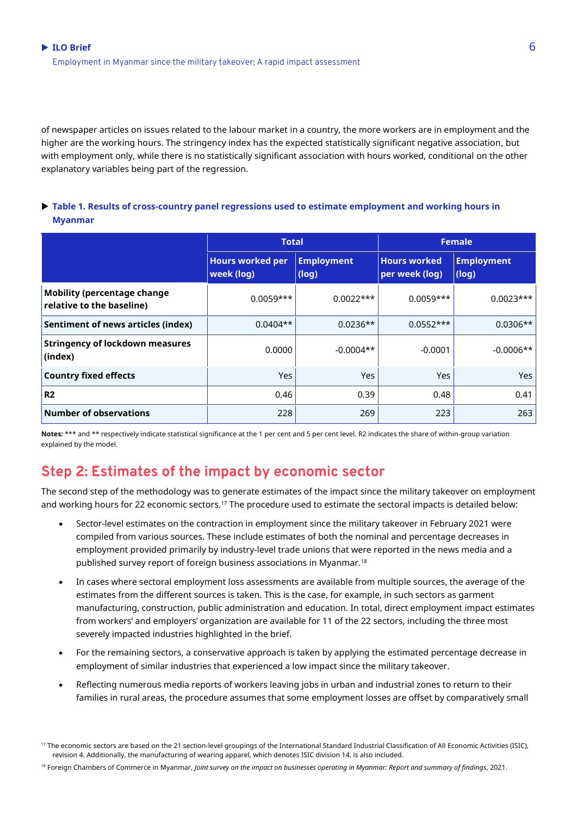of newspaper articles on issues related to the labour market in a country, the more workers are in employment and the higher are the working hours. The stringency index has the expected statistically significant negative association, but with employment only, while there is no statistically significant association with hours worked, conditional on the other explanatory variables being part of the regression.

#### **Table 1. Results of cross-country panel regressions used to estimate employment and working hours in Myanmar**

|                                                                 | <b>Total</b>                          |                            | <b>Female</b>                         |                            |
|-----------------------------------------------------------------|---------------------------------------|----------------------------|---------------------------------------|----------------------------|
|                                                                 | <b>Hours worked per</b><br>week (log) | <b>Employment</b><br>(log) | <b>Hours worked</b><br>per week (log) | <b>Employment</b><br>(log) |
| <b>Mobility (percentage change</b><br>relative to the baseline) | $0.0059***$                           | $0.0022***$                | $0.0059***$                           | $0.0023***$                |
| Sentiment of news articles (index)                              | $0.0404**$                            | $0.0236**$                 | $0.0552***$                           | $0.0306**$                 |
| <b>Stringency of lockdown measures</b><br>(index)               | 0.0000                                | $-0.0004**$                | $-0.0001$                             | $-0.0006**$                |
| <b>Country fixed effects</b>                                    | Yes                                   | <b>Yes</b>                 | <b>Yes</b>                            | Yes                        |
| R <sub>2</sub>                                                  | 0.46                                  | 0.39                       | 0.48                                  | 0.41                       |
| <b>Number of observations</b>                                   | 228                                   | 269                        | 223                                   | 263                        |

**Notes:** \*\*\* and \*\* respectively indicate statistical significance at the 1 per cent and 5 per cent level. R2 indicates the share of within-group variation explained by the model.

## **Step 2: Estimates of the impact by economic sector**

The second step of the methodology was to generate estimates of the impact since the military takeover on employment and working hours for 22 economic sectors.<sup>17</sup> The procedure used to estimate the sectoral impacts is detailed below:

- Sector-level estimates on the contraction in employment since the military takeover in February 2021 were compiled from various sources. These include estimates of both the nominal and percentage decreases in employment provided primarily by industry-level trade unions that were reported in the news media and a published survey report of foreign business associations in Myanmar.<sup>18</sup>
- In cases where sectoral employment loss assessments are available from multiple sources, the average of the estimates from the different sources is taken. This is the case, for example, in such sectors as garment manufacturing, construction, public administration and education. In total, direct employment impact estimates from workers' and employers' organization are available for 11 of the 22 sectors, including the three most severely impacted industries highlighted in the brief.
- For the remaining sectors, a conservative approach is taken by applying the estimated percentage decrease in employment of similar industries that experienced a low impact since the military takeover.
- Reflecting numerous media reports of workers leaving jobs in urban and industrial zones to return to their families in rural areas, the procedure assumes that some employment losses are offset by comparatively small

<sup>18</sup> Foreign Chambers of Commerce in Myanmar, *Joint survey on the impact on businesses operating in Myanmar: Report and summary of findings, 2021.* 

<sup>17</sup> The economic sectors are based on the 21 section-level groupings of the International Standard Industrial Classification of All Economic Activities (ISIC), revision 4. Additionally, the manufacturing of wearing apparel, which denotes ISIC division 14, is also included.